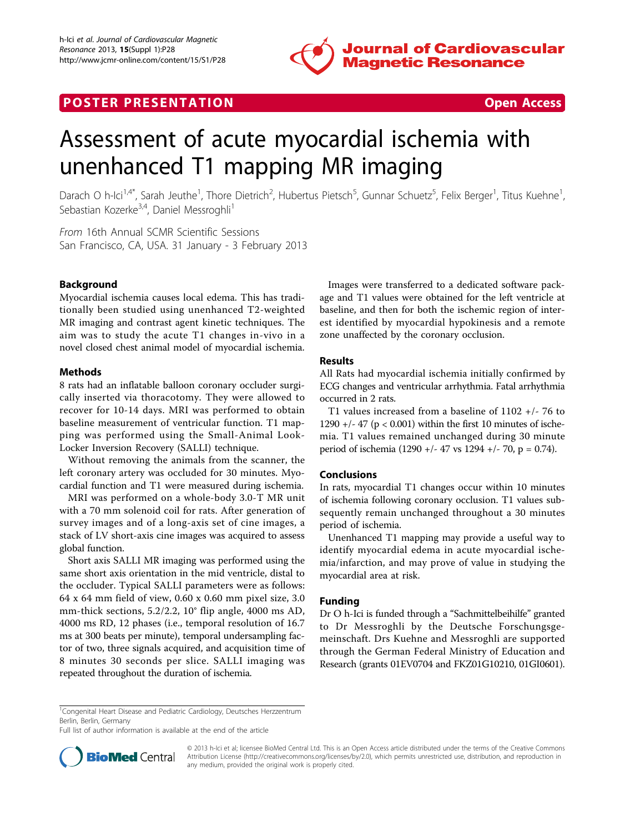

## **POSTER PRESENTATION CONSUMING THE SECOND CONSUMING THE SECOND CONSUMING THE SECOND CONSUMING THE SECOND CONSUMING THE SECOND CONSUMING THE SECOND CONSUMING THE SECOND CONSUMING THE SECOND CONSUMING THE SECOND CONSUMING**



# Assessment of acute myocardial ischemia with unenhanced T1 mapping MR imaging

Darach O h-Ici<sup>1,4\*</sup>, Sarah Jeuthe<sup>1</sup>, Thore Dietrich<sup>2</sup>, Hubertus Pietsch<sup>5</sup>, Gunnar Schuetz<sup>5</sup>, Felix Berger<sup>1</sup>, Titus Kuehne<sup>1</sup> , Sebastian Kozerke<sup>3,4</sup>, Daniel Messroghli<sup>1</sup>

From 16th Annual SCMR Scientific Sessions San Francisco, CA, USA. 31 January - 3 February 2013

### Background

Myocardial ischemia causes local edema. This has traditionally been studied using unenhanced T2-weighted MR imaging and contrast agent kinetic techniques. The aim was to study the acute T1 changes in-vivo in a novel closed chest animal model of myocardial ischemia.

#### Methods

8 rats had an inflatable balloon coronary occluder surgically inserted via thoracotomy. They were allowed to recover for 10-14 days. MRI was performed to obtain baseline measurement of ventricular function. T1 mapping was performed using the Small-Animal Look-Locker Inversion Recovery (SALLI) technique.

Without removing the animals from the scanner, the left coronary artery was occluded for 30 minutes. Myocardial function and T1 were measured during ischemia.

MRI was performed on a whole-body 3.0-T MR unit with a 70 mm solenoid coil for rats. After generation of survey images and of a long-axis set of cine images, a stack of LV short-axis cine images was acquired to assess global function.

Short axis SALLI MR imaging was performed using the same short axis orientation in the mid ventricle, distal to the occluder. Typical SALLI parameters were as follows: 64 x 64 mm field of view, 0.60 x 0.60 mm pixel size, 3.0 mm-thick sections, 5.2/2.2, 10° flip angle, 4000 ms AD, 4000 ms RD, 12 phases (i.e., temporal resolution of 16.7 ms at 300 beats per minute), temporal undersampling factor of two, three signals acquired, and acquisition time of 8 minutes 30 seconds per slice. SALLI imaging was repeated throughout the duration of ischemia.

Images were transferred to a dedicated software package and T1 values were obtained for the left ventricle at baseline, and then for both the ischemic region of interest identified by myocardial hypokinesis and a remote zone unaffected by the coronary occlusion.

#### Results

All Rats had myocardial ischemia initially confirmed by ECG changes and ventricular arrhythmia. Fatal arrhythmia occurred in 2 rats.

T1 values increased from a baseline of 1102 +/- 76 to 1290  $+/- 47$  (p < 0.001) within the first 10 minutes of ischemia. T1 values remained unchanged during 30 minute period of ischemia (1290 +/- 47 vs 1294 +/- 70, p = 0.74).

#### Conclusions

In rats, myocardial T1 changes occur within 10 minutes of ischemia following coronary occlusion. T1 values subsequently remain unchanged throughout a 30 minutes period of ischemia.

Unenhanced T1 mapping may provide a useful way to identify myocardial edema in acute myocardial ischemia/infarction, and may prove of value in studying the myocardial area at risk.

#### Funding

Dr O h-Ici is funded through a "Sachmittelbeihilfe" granted to Dr Messroghli by the Deutsche Forschungsgemeinschaft. Drs Kuehne and Messroghli are supported through the German Federal Ministry of Education and Research (grants 01EV0704 and FKZ01G10210, 01GI0601).

Full list of author information is available at the end of the article



© 2013 h-Ici et al; licensee BioMed Central Ltd. This is an Open Access article distributed under the terms of the Creative Commons Attribution License [\(http://creativecommons.org/licenses/by/2.0](http://creativecommons.org/licenses/by/2.0)), which permits unrestricted use, distribution, and reproduction in any medium, provided the original work is properly cited.

<sup>&</sup>lt;sup>1</sup>Congenital Heart Disease and Pediatric Cardiology, Deutsches Herzzentrum Berlin, Berlin, Germany